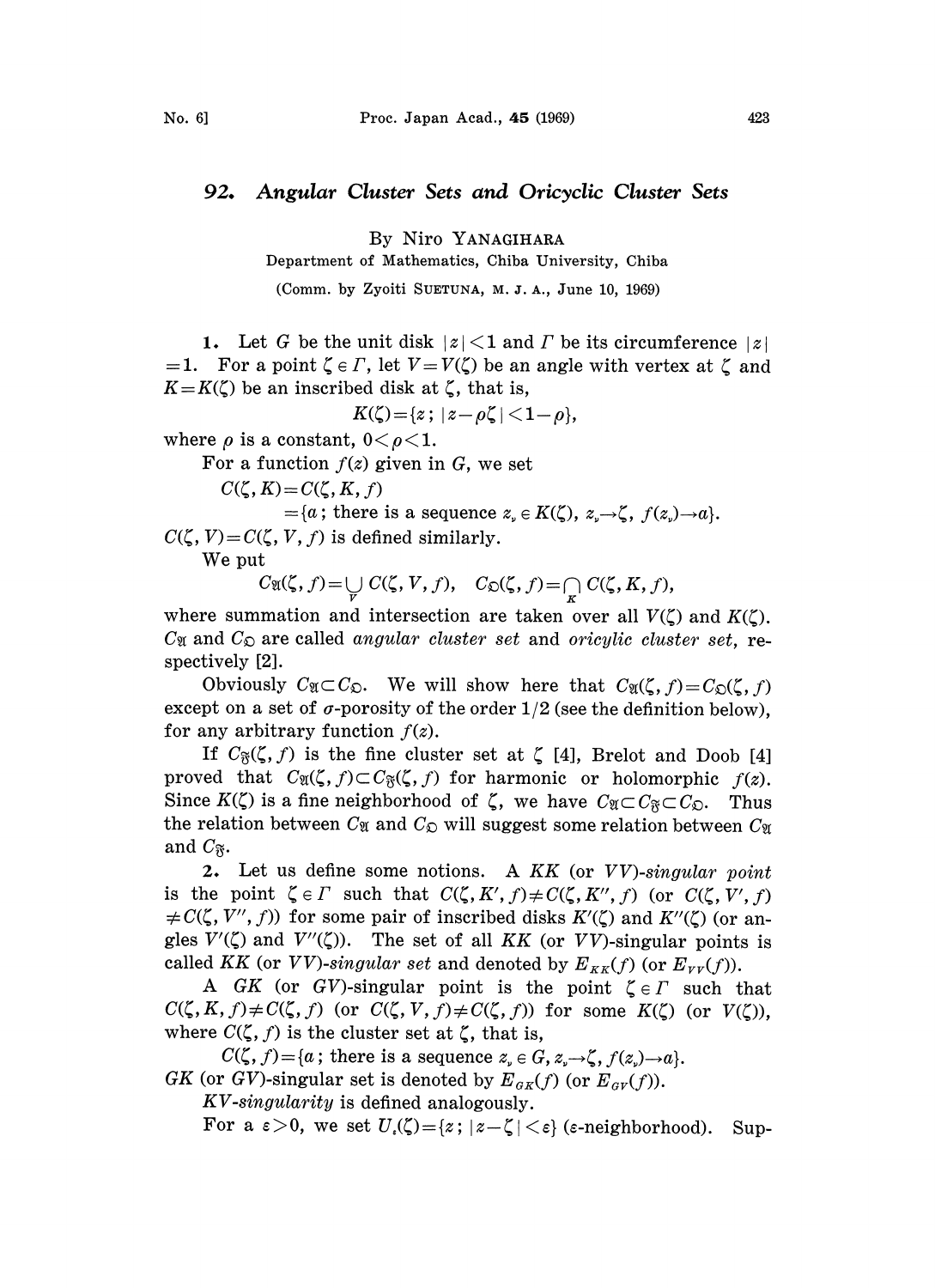## 92. Angular Cluster Sets and Oricyclic Cluster Sets

By Niro YANAGIHARA

Department of Mathematics, Chiba University, Chiba

(Comm. by Zyoiti SUETUNA, M. I. A., June. I0, 1969)

1. Let G be the unit disk  $|z|$  < 1 and  $\Gamma$  be its circumference  $|z|$ =1. For a point  $\zeta \in \Gamma$ , let  $V=V(\zeta)$  be an angle with vertex at  $\zeta$  and  $K=K(\zeta)$  be an inscribed disk at  $\zeta$ , that is,

 $K(\zeta) = \{z \, ; \, |z-\rho\zeta| < 1-\rho\},\,$ 

where  $\rho$  is a constant,  $0 < \rho < 1$ .

For a function  $f(z)$  given in G, we set

 $C({\zeta}, K) = C({\zeta}, K, f)$ 

 $=\{a\,;\,\text{there is a sequence }z_{n}\in K(\zeta),\,z_{n}\rightarrow\zeta,\,f(z_{n})\rightarrow a\}.$  $C(\zeta, V)=C(\zeta, V, f)$  is defined similarly.

We put

 $C_{\mathfrak{A}}(\zeta, f) = \bigcup_{V} C(\zeta, V, f), \quad C_{\mathfrak{D}}(\zeta, f) = \bigcap_{K} C(\zeta, K, f),$ 

where summation and intersection are taken over all  $V(\zeta)$  and  $K(\zeta)$ .  $C_{\mathfrak{A}}$  and  $C_{\mathfrak{D}}$  are called angular cluster set and oricylic cluster set, respectively [2].

Obviously  $C_{\mathfrak{A}} \subset C_{\mathfrak{D}}$ . We will show here that  $C_{\mathfrak{A}}(\zeta, f) = C_{\mathfrak{D}}(\zeta, f)$ except on a set of  $\sigma$ -porosity of the order 1/2 (see the definition below), for any arbitrary function  $f(z)$ .

If  $C_{\mathfrak{F}}(\zeta, f)$  is the fine cluster set at  $\zeta$  [4], Brelot and Doob [4] proved that  $C_{\mathfrak{A}}(\zeta,f)\subset C_{\mathfrak{F}}(\zeta,f)$  for harmonic or holomorphic  $f(z)$ . Since  $K(\zeta)$  is a fine neighborhood of  $\zeta$ , we have  $C_{\mathfrak{A}} \subset C_{\mathfrak{A}} \subset C_{\mathfrak{D}}$ . Thus the relation between  $C_{\mathfrak{A}}$  and  $C_{\mathfrak{D}}$  will suggest some relation between  $C_{\mathfrak{A}}$ and  $C_{\mathfrak{F}}$ .<br>2.

Let us define some notions. A  $KK$  (or  $VV$ )-singular point is the point  $\zeta \in \Gamma$  such that  $C(\zeta, K', f) \neq C(\zeta, K'', f)$  (or  $C(\zeta, V', f)$ )  $\neq C(\zeta, V'', f))$  for some pair of inscribed disks  $K'(\zeta)$  and  $K''(\zeta)$  (or angles  $V'(\zeta)$  and  $V''(\zeta)$ ). The set of all KK (or VV)-singular points is called KK (or VV)-singular set and denoted by  $E_{KK}(f)$  (or  $E_{VV}(f)$ ).

A GK (or GV)-singular point is the point  $\zeta \in \Gamma$  such that  $C(\zeta, K, f) \neq C(\zeta, f)$  (or  $C(\zeta, V, f) \neq C(\zeta, f)$ ) for some  $K(\zeta)$  (or  $V(\zeta)$ ), where  $C(\zeta, f)$  is the cluster set at  $\zeta$ , that is,

 $C(\zeta, f) = \{a; \text{ there is a sequence } z \in G, z \to \zeta, f(z) \to a\}.$ GK (or GV)-singular set is denoted by  $E_{gK}(f)$  (or  $E_{gV}(f)$ ).

KV-singularity is defined analogously.

For a  $\varepsilon > 0$ , we set  $U_{\varepsilon}(\zeta) = \{z : |z - \zeta| < \varepsilon\}$  ( $\varepsilon$ -neighborhood). Sup-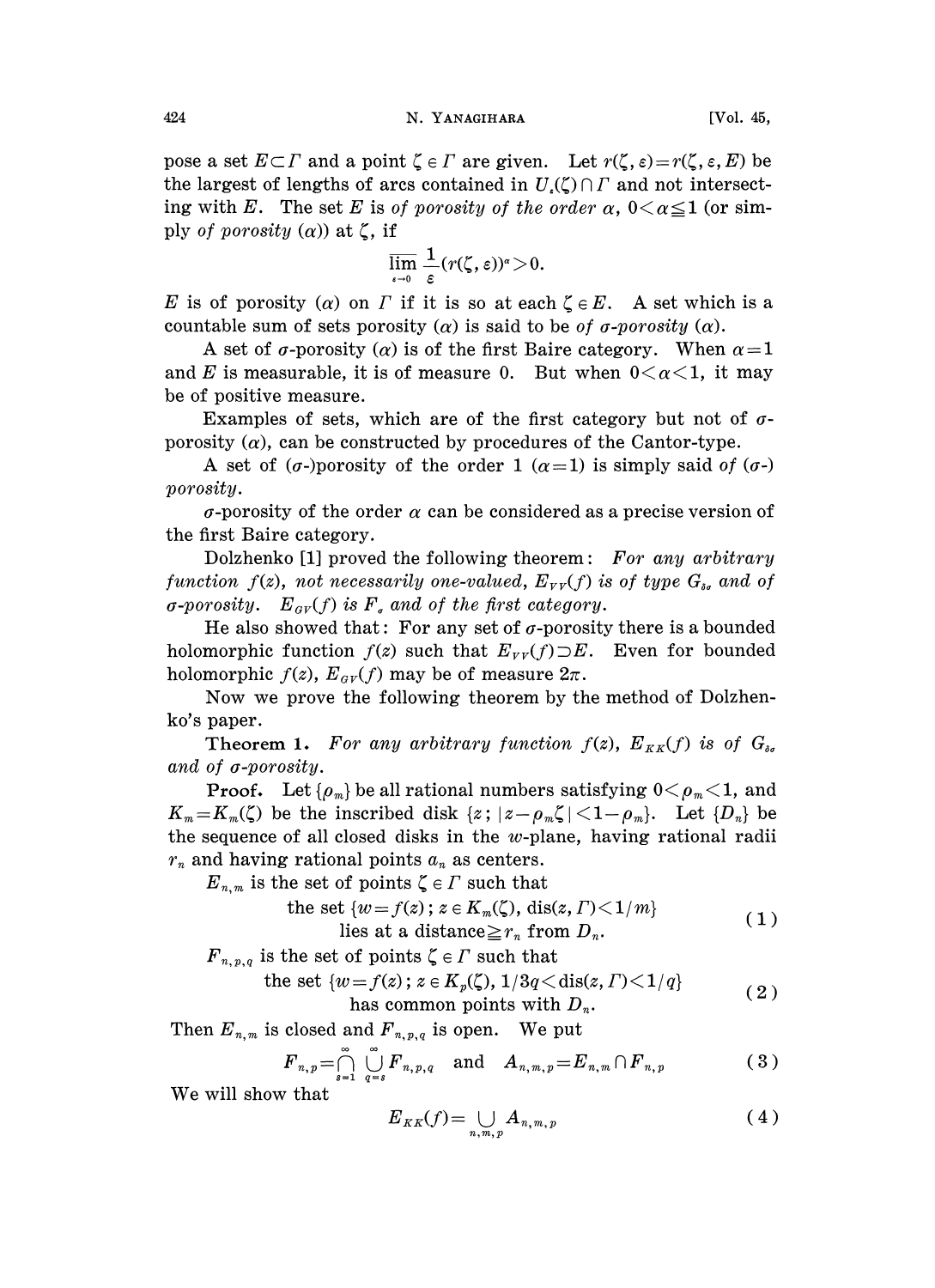pose a set  $E\subset\Gamma$  and a point  $\zeta\in\Gamma$  are given. Let  $r(\zeta, \varepsilon)=r(\zeta, \varepsilon, E)$  be the largest of lengths of arcs contained in  $U_{\epsilon}(\zeta)\cap\Gamma$  and not intersecting with E. The set E is of porosity of the order  $\alpha$ ,  $0<\alpha\leq 1$  (or simply of porosity  $(\alpha)$  at  $\zeta$ , if

$$
\overline{\lim_{\epsilon \to 0}} \frac{1}{\epsilon} (r(\zeta, \varepsilon))^{\alpha} > 0.
$$

E is of porosity (a) on  $\Gamma$  if it is so at each  $\zeta \in E$ . A set which is a countable sum of sets porosity ( $\alpha$ ) is said to be of  $\sigma$ -porosity ( $\alpha$ ).

A set of  $\sigma$ -porosity ( $\alpha$ ) is of the first Baire category. When  $\alpha=1$ and E is measurable, it is of measure 0. But when  $0<\alpha<1$ , it may be of positive measure.

Examples of sets, which are of the first category but not of  $\sigma$ porosity  $(\alpha)$ , can be constructed by procedures of the Cantor-type.

A set of ( $\sigma$ -)porosity of the order 1 ( $\alpha$ =1) is simply said of ( $\sigma$ -) porosity.

 $\sigma$ -porosity of the order  $\alpha$  can be considered as a precise version of the first Baire category.

Dolzhenko [1] proved the following theorem: For any arbitrary function  $f(z)$ , not necessarily one-valued,  $E_{\nu \nu}(f)$  is of type  $G_{\delta \sigma}$  and of  $\sigma$ -porosity.  $E_{\sigma V}(f)$  is  $F_a$  and of the first category.

He also showed that: For any set of  $\sigma$ -porosity there is a bounded holomorphic function  $f(z)$  such that  $E_{\nu \nu}(f) \supset E$ . Even for bounded holomorphic  $f(z)$ ,  $E_{\alpha V}(f)$  may be of measure  $2\pi$ .

Now we prove the following theorem by the method of Dolzhenko's paper.

**Theorem 1.** For any arbitrary function  $f(z)$ ,  $E_{KK}(f)$  is of  $G_{\delta\sigma}$ and of  $\sigma$ -porosity.

**Proof.** Let  $\{ \rho_m \}$  be all rational numbers satisfying  $0 \leq \rho_m \leq 1$ , and  $K_m=K_m(\zeta)$  be the inscribed disk  $\{z: |z-\rho_m\zeta|<1-\rho_m\}$ . Let  $\{D_n\}$  be the sequence of all closed disks in the  $w$ -plane, having rational radii  $r_n$  and having rational points  $a_n$  as centers.

 $E_{n,m}$  is the set of points  $\zeta \in \Gamma$  such that

the set 
$$
\{w = f(z) \colon z \in K_m(\zeta), \text{dis}(z, \Gamma) < 1/m\}
$$
  
lies at a distance  $\geq r_n$  from  $D_n$ . (1)

 $F_{n,p,q}$  is the set of points  $\zeta \in \Gamma$  such that

the set 
$$
\{w = f(z) \colon z \in K_p(\zeta), 1/3q \leq \text{dis}(z, \Gamma) \leq 1/q\}
$$
 (2)

has common points with 
$$
D_n
$$
.

Then  $E_{n,m}$  is closed and  $F_{n,p,q}$  is open. We put

$$
F_{n,p} = \bigcap_{s=1}^{\infty} \bigcup_{q=s}^{\infty} F_{n,p,q} \quad \text{and} \quad A_{n,m,p} = E_{n,m} \cap F_{n,p} \tag{3}
$$

We will show that

$$
E_{KK}(f) = \bigcup_{n,m,p} A_{n,m,p} \tag{4}
$$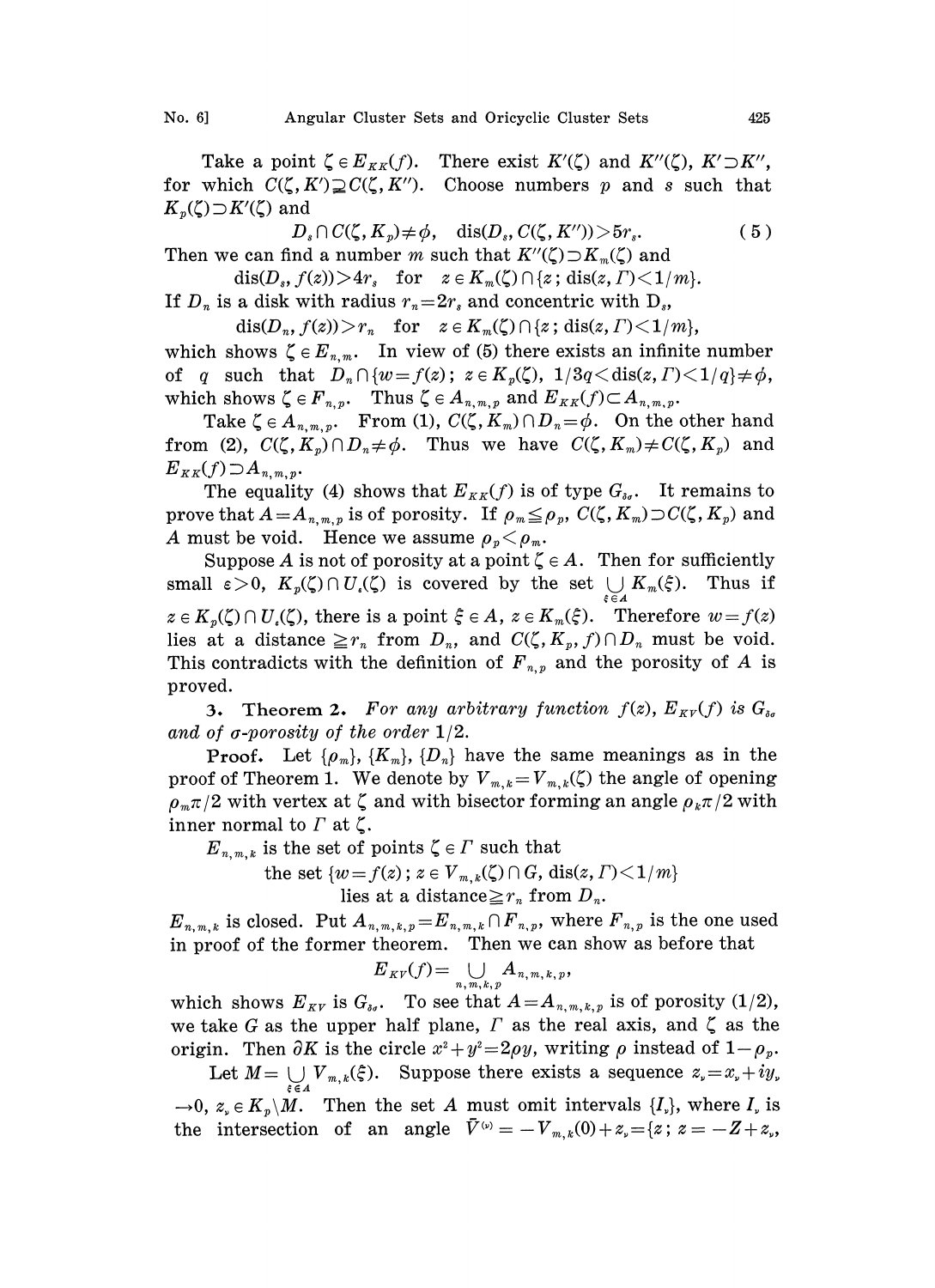Take a point  $\zeta \in E_{KK}(f)$ . There exist  $K'(\zeta)$  and  $K''(\zeta)$ ,  $K' \supset K''$ , for which  $C(\zeta, K') \supsetneq C(\zeta, K'')$ . Choose numbers p and s such that  $K_p(\zeta) \supset K'(\zeta)$  and

$$
D_s \cap C(\zeta, K_p) \neq \phi, \quad \text{dis}(D_s, C(\zeta, K'')) > 5r_s. \tag{5}
$$

Then we can find a number m such that  $K''(\zeta) \supset K_m(\zeta)$  and  $dis(D<sub>s</sub>, f(z))>4r<sub>s</sub>$  for  $z \in K_m(\zeta) \cap \{z; \operatorname{dis}(z,\Gamma) < 1/m\}.$ 

If  $D_n$  is a disk with radius  $r_n=2r_s$  and concentric with  $D_s$ ,

 $dis(D_n, f(z)) > r_n$  for  $z \in K_m(\zeta) \cap \{z; dis(z, \Gamma) < 1/m\},$ 

which shows  $\zeta \in E_{n,m}$ . In view of (5) there exists an infinite number of q such that  $D_n \cap \{w = f(z); z \in K_n(\zeta), 1/3q < \text{dis}(z, \Gamma) < 1/q\} \neq \phi,$ which shows  $\zeta \in F_{n,p}$ . Thus  $\zeta \in A_{n,m,p}$  and  $E_{KK}(f) \subset A_{n,m,p}$ .

Take  $\zeta \in A_{n,m,p}$ . From (1),  $C(\zeta, K_m) \cap D_n = \phi$ . On the other hand from (2),  $C(\zeta, K_p) \cap D_n \neq \phi$ . Thus we have  $C(\zeta, K_m) \neq C(\zeta, K_p)$  and  $E_{KK}(f) \supset A_{n,m,p}.$ 

The equality (4) shows that  $E_{KK}(f)$  is of type  $G_{\delta g}$ . It remains to prove that  $A=A_{n,m,p}$  is of porosity. If  $\rho_m \leq \rho_p$ ,  $C(\zeta, K_m) \supset C(\zeta, K_p)$  and A must be void. Hence we assume  $\rho_p < \rho_m$ .

Suppose A is not of porosity at a point  $\zeta \in A$ . Then for sufficiently small  $\varepsilon > 0$ ,  $K_p(\zeta) \cap U(\zeta)$  is covered by the set  $\bigcup_{\xi \in A} K_m(\xi)$ . Thus if  $z \in K_p(\zeta) \cap U(\zeta)$ , there is a point  $\xi \in A$ ,  $z \in K_m(\xi)$ . Therefore  $w = f(z)$ lies at a distance  $\geq r_n$  from  $D_n$ , and  $C(\zeta, K_p, f) \cap D_n$  must be void. This contradicts with the definition of  $F_{n,p}$  and the porosity of A is proved.

3. Theorem 2. For any arbitrary function  $f(z)$ ,  $E_{\kappa V}(f)$  is  $G_{\delta g}$ and of  $\sigma$ -porosity of the order  $1/2$ .

**Proof.** Let  $\{\rho_m\}$ ,  $\{K_m\}$ ,  $\{D_n\}$  have the same meanings as in the proof of Theorem 1. We denote by  $V_{m,k} = V_{m,k}(\zeta)$  the angle of opening  $\rho_m\pi/2$  with vertex at  $\zeta$  and with bisector forming an angle  $\rho_k\pi/2$  with inner normal to  $\Gamma$  at  $\zeta$ .

 $E_{n,m,k}$  is the set of points  $\zeta \in \Gamma$  such that

the set  $\{w = f(z) \, ; \, z \in V_{m,k}(\zeta) \cap G, \, \text{dis}(z, \Gamma) \leq 1/m\}$ lies at a distance  $\geq r_n$  from  $D_n$ .

 $E_{n,m,k}$  is closed. Put  $A_{n,m,k,p} = E_{n,m,k} \cap F_{n,p}$ , where  $F_{n,p}$  is the one used in proof of the former theorem. Then we can show as before that

$$
E_{\overline{K}V}(f)=\bigcup_{n,\,\overline{m},\,\overline{k},\,\overline{p}}A_{\overline{n},\,\overline{m},\,\overline{k},\,\overline{p}},
$$

 $E_{\tiny{KV}}(f) = \bigcup_{n, m, k, p} A_{n, m, k, p},$ <br>which shows  $E_{\tiny{KV}}$  is  $G_{\tiny{so}}$ . To see that  $A = A_{n, m, k, p}$  is of porosity (1/2), we take G as the upper half plane,  $\Gamma$  as the real axis, and  $\zeta$  as the origin. Then  $\partial K$  is the circle  $x^2+y^2=2\rho y$ , writing  $\rho$  instead of  $1-\rho_p$ .

Let  $M=\bigcup_{\xi\in A}V_{m,k}(\xi)$ . Suppose there exists a sequence  $z_{\nu}=x_{\nu}+iy_{\nu}$  $\rightarrow 0$ ,  $z_{\nu} \in K_{\nu}/M$ . Then the set A must omit intervals  $\{I_{\nu}\}\$ , where  $I_{\nu}$  is the intersection of an angle  $\bar{V}^{(0)}=-V_{m,k}(0)+z_{k}=\{z\,;\,z=-Z+z_{k},\,z_{k}=\{z\,;\,z=-Z+z_{k}\}$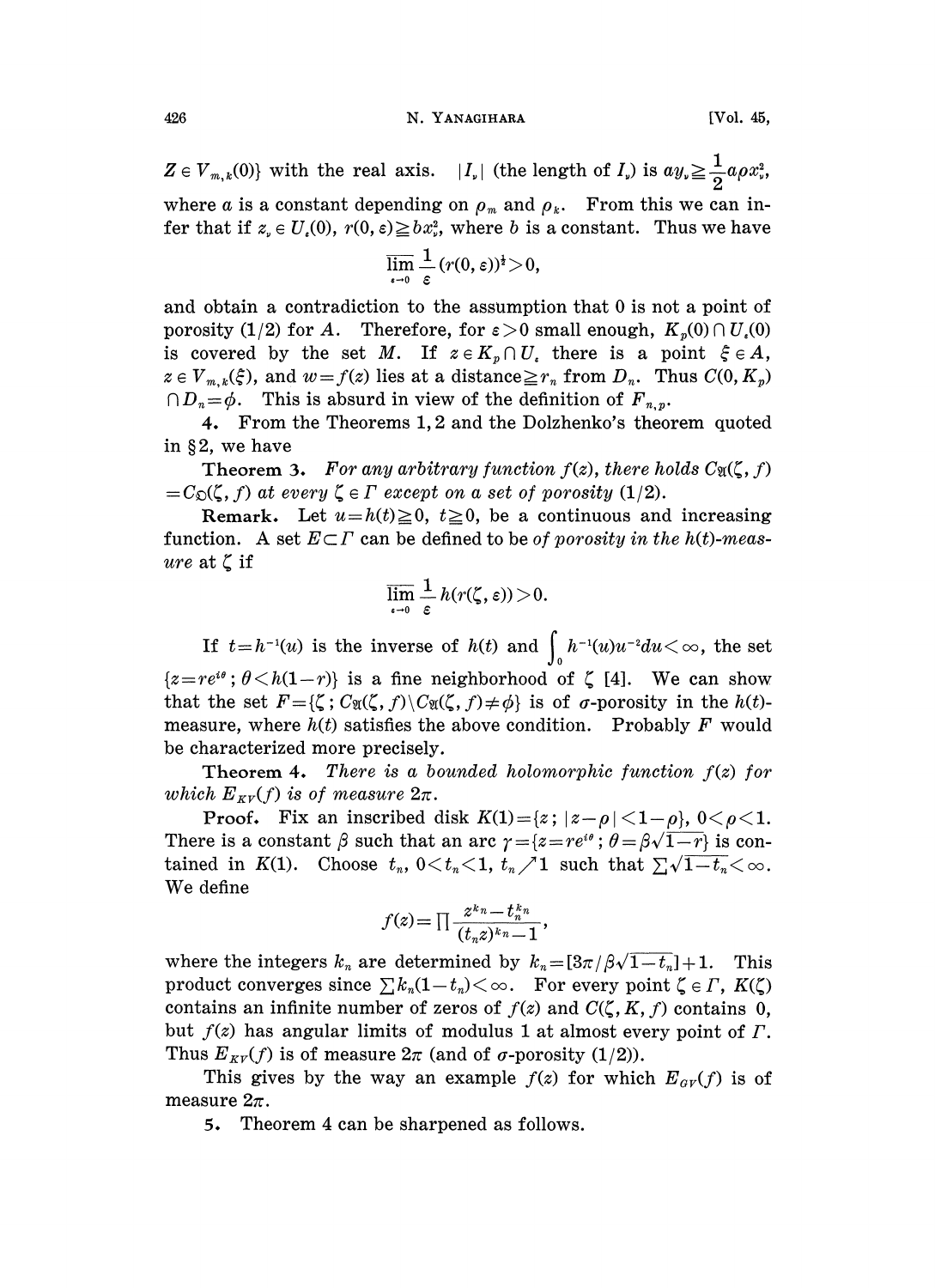## 426 N. YANAGIHARA [Vol. 45,

 $Z \in V_{m,k}(0)$  with the real axis.  $|I_{\nu}|$  (the length of  $I_{\nu}$ ) is  $ay_{\nu} \geq \frac{1}{2}a\rho x_{\nu}^2$ , where a is a constant depending on  $\rho_m$  and  $\rho_k$ . From this we can infer that if  $z_e \in U_e(0)$ ,  $r(0, \varepsilon) \geq bx_e^2$ , where b is a constant. Thus we have

$$
\overline{\lim_{\epsilon \to 0}} \frac{1}{\epsilon} (r(0, \epsilon))^{\frac{1}{2}} > 0,
$$

and obtain a contradiction to the assumption that 0 is not a point of porosity (1/2) for A. Therefore, for  $\varepsilon > 0$  small enough,  $K_n(0) \cap U_n(0)$ is covered by the set M. If  $z \in K_n \cap U$ , there is a point  $\xi \in A$ ,  $z \in V_{m,k}(\xi)$ , and  $w=f(z)$  lies at a distance  $\geq r_n$  from  $D_n$ . Thus  $C(0, K_p)$  $\cap D_n = \phi$ . This is absurd in view of the definition of  $F_{n,n}$ .

4. From the Theorems 1, 2 and the Dolzhenko's theorem quoted in  $§2$ , we have

**Theorem 3.** For any arbitrary function  $f(z)$ , there holds  $C_{\mathfrak{A}}(\zeta, f)$  $=C_{\mathfrak{O}}(\zeta, f)$  at every  $\zeta \in \Gamma$  except on a set of porosity (1/2).

Remark. Let  $u=h(t)\geq 0$ ,  $t\geq 0$ , be a continuous and increasing function. A set  $E \subset \Gamma$  can be defined to be *of porosity in the h(t)-meas*ure at  $\zeta$  if

$$
\overline{\lim_{\epsilon \to 0}} \, \frac{1}{\epsilon} \, h(r(\zeta,\epsilon)) \! > \! 0.
$$

If  $t=h^{-1}(u)$  is the inverse of  $h(t)$  and  $\int_0^t h^{-1}(u)u^{-2}du < \infty$ , the set  ${z=re^{i\theta}}; \theta < h(1-r)$  is a fine neighborhood of  $\zeta$  [4]. We can show. that the set  $F = {\zeta : C_{\mathfrak{A}}(\zeta, f) \setminus C_{\mathfrak{A}}(\zeta, f) \neq \phi}$  is of  $\sigma$ -porosity in the  $h(t)$ measure, where  $h(t)$  satisfies the above condition. Probably F would be characterized more precisely.

Theorem 4. There is a bounded holomorphic function  $f(z)$  for which  $E_{\kappa y}(f)$  is of measure  $2\pi$ .

**Proof.** Fix an inscribed disk  $K(1) = \{z : |z-\rho| < 1-\rho\}$ ,  $0 < \rho < 1$ . There is a constant  $\beta$  such that an arc  $\gamma = \{z = re^{i\theta} : \theta = \beta\sqrt{1-r}\}\$  is contained in K(1). Choose  $t_n$ ,  $0 \lt t_n \lt 1$ ,  $t_n \lt 1$  such that  $\sum \sqrt{1-t_n} \lt \infty$ . We define

$$
f(z) = \prod \frac{z^{k_n} - t_n^{k_n}}{(t_n z)^{k_n} - 1},
$$

where the integers  $k_n$  are determined by  $k_n = [3\pi/\beta\sqrt{1-t_n}] + 1$ . This product converges since  $\sum k_n(1-t_n) < \infty$ . For every point  $\zeta \in \Gamma$ ,  $K(\zeta)$ contains an infinite number of zeros of  $f(z)$  and  $C(\zeta, K, f)$  contains 0, but  $f(z)$  has angular limits of modulus 1 at almost every point of  $\Gamma$ . Thus  $E_{\kappa V}(f)$  is of measure  $2\pi$  (and of  $\sigma$ -porosity (1/2)).

This gives by the way an example  $f(z)$  for which  $E_{\alpha y}(f)$  is of measure  $2\pi$ .

5. Theorem 4 can be sharpened as follows.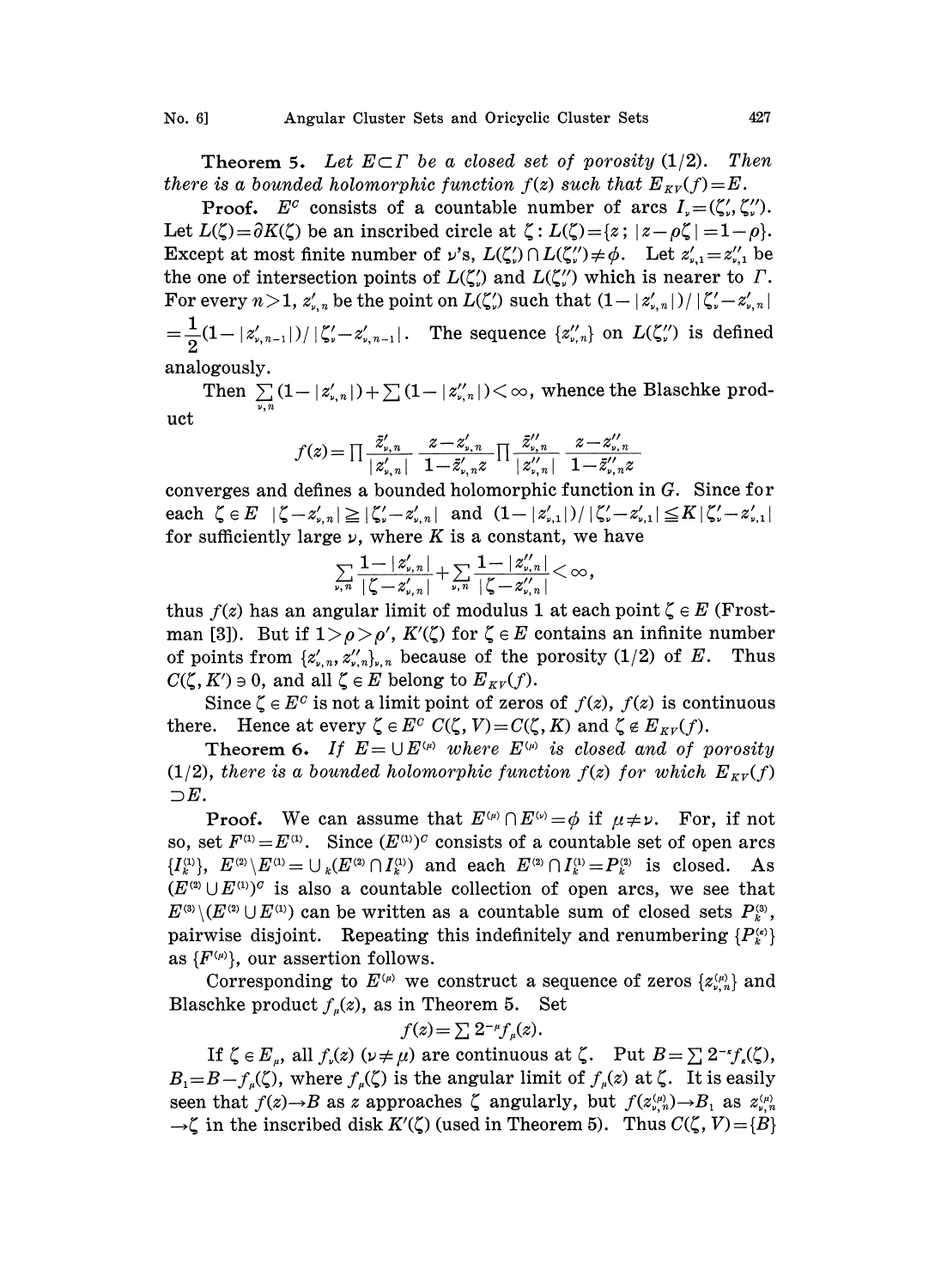**Theorem 5.** Let  $E \subset \Gamma$  be a closed set of porosity (1/2). Then there is a bounded holomorphic function  $f(z)$  such that  $E_{\kappa V}(f)=E$ .

**Proof.**  $E^c$  consists of a countable number of arcs  $I_r = (\zeta'_r, \zeta''_r)$ . Let  $L(\zeta)=\partial K(\zeta)$  be an inscribed circle at  $\zeta: L(\zeta)=[z; |z-\rho\zeta|]=1-\rho$ . Except at most finite number of  $\nu$ 's,  $L(\zeta') \cap L(\zeta''') \neq \phi$ . Let  $z'_{\nu,1} = z''_{\nu,1}$  be the one of intersection points of  $L(\zeta')$  and  $L(\zeta'')$  which is nearer to  $\Gamma$ . For every  $n>1$ ,  $z'_{n,n}$  be the point on  $L(\zeta')$  such that  $(1-|z'_{n,n}|)/|\zeta'-z'_{n,n}|$  $\frac{1}{2} (1 - |z'_{\text{\tiny p, n-1}}|) / |\zeta_{\text{\tiny p}}' - z'_{\text{\tiny p, n-1}}|$ . The sequence  $\{z''_{\text{\tiny p, n}}\}$  on  $L(\zeta_{\text{\tiny p}}'')$  is defined analogously.

 $\text{Then } \sum\limits_{\text{p,n}} \left(1-|z'_{\text{p,n}}|\right)+\sum\limits_{\text{p,n}} \left(1-|z''_{\text{p,n}}|\right)\right)<\infty, \text{ whence the Blaschke prod-}$ uct

$$
f(z)\!=\!\textstyle\prod\frac{\bar{z}'_{\nu,\,n}}{|z'_{\nu,\,n}|}\frac{z\!-\!z'_{\nu,\,n}}{1\!-\!\bar{z}'_{\nu,\,n}z}\textstyle\prod\frac{\bar{z}''_{\nu,\,n}}{|z''_{\nu,\,n}|}\frac{z\!-\!z''_{\nu,\,n}}{1\!-\!\bar{z}'_{\nu,\,n}z}
$$

converges and defines a bounded holomorphic function in G. Since for each  $\zeta \in E \quad |\zeta - z'_{\nu,n}| \geq |\zeta_{\nu}^{\prime} - z'_{\nu,n}|$  and  $(1-|z'_{\nu,1}|)/|\zeta_{\nu}^{\prime} - z'_{\nu,n}| \leq K|\zeta_{\nu}^{\prime} - z'_{\nu,1}|$ for sufficiently large  $\nu$ , where K is a constant, we have

$$
\textstyle \sum\limits_{\nu,\,n}\frac{1-|z'_{\nu,\,n}|}{|\zeta\!-\!z'_{\nu,\,n}|}\!+\!\sum\limits_{\nu,\,n}\frac{1-|z''_{\nu,\,n}|}{|\zeta\!-\!z''_{\nu,\,n}|}\!<\infty,
$$

thus  $f(z)$  has an angular limit of modulus 1 at each point  $\zeta \in E$  (Frostman [3]). But if  $1 > \rho > \rho'$ ,  $K'(\zeta)$  for  $\zeta \in E$  contains an infinite number of points from  $\{z'_{\nu,n}, z''_{\nu,n}\}$ , because of the porosity  $(1/2)$  of E. Thus  $C(\zeta, K') \ni 0$ , and all  $\zeta \in E$  belong to  $E_{\kappa v}(f)$ .

Since  $\zeta \in E^c$  is not a limit point of zeros of  $f(z)$ ,  $f(z)$  is continuous there. Hence at every  $\zeta \in E^c$   $C(\zeta, V) = C(\zeta, K)$  and  $\zeta \notin E_{\kappa V}(f)$ .

Theorem 6. If  $E = \bigcup E^{(\mu)}$  where  $E^{(\mu)}$  is closed and of porosity (1/2), there is a bounded holomorphic function  $f(z)$  for which  $E_{\kappa y}(f)$  $\supset E$ .

**Proof.** We can assume that  $E^{(\mu)} \cap E^{(\nu)} = \phi$  if  $\mu \neq \nu$ . For, if not so, set  $F^{(1)} = E^{(1)}$ . Since  $(E^{(1)})^C$  consists of a countable set of open arcs  ${I_k^{(1)}, E^{(2)} \setminus E^{(1)} = \bigcup_k (E^{(2)} \cap I_k^{(1)})}$  and each  $E^{(2)} \cap I_k^{(1)} = P_k^{(2)}$  is closed. As  $(E^{(2)} \cup E^{(1)})^C$  is also a countable collection of open arcs, we see that  $E^{(3)} \setminus (E^{(2)} \cup E^{(1)})$  can be written as a countable sum of closed sets  $P_k^{(3)}$ , pairwise disjoint. Repeating this indefinitely and renumbering  $\{P_k^{(k)}\}$ as  $\{F^{(\mu)}\}\)$ , our assertion follows.

Corresponding to  $E^{(\mu)}$  we construct a sequence of zeros  $\{z_{\nu,n}^{(\mu)}\}$  and Blaschke product  $f_u(z)$ , as in Theorem 5. Set

$$
f(z) = \sum 2^{-\mu} f_{\mu}(z).
$$

If  $\zeta \in E_n$ , all  $f_v(z)$   $(\nu \neq \mu)$  are continuous at  $\zeta$ . Put  $B = \sum 2^{-\kappa} f_v(\zeta)$ ,  $B_i=B-f_u(\zeta)$ , where  $f_u(\zeta)$  is the angular limit of  $f_u(z)$  at  $\zeta$ . It is easily seen that  $f(z) \rightarrow B$  as z approaches  $\zeta$  angularly, but  $f(z_{\nu,n}^{(\mu)}) \rightarrow B_1$  as  $z_{\nu,n}^{(\mu)}$  $\rightarrow \zeta$  in the inscribed disk  $K'(\zeta)$  (used in Theorem 5). Thus  $C(\zeta, V) = \{B\}$